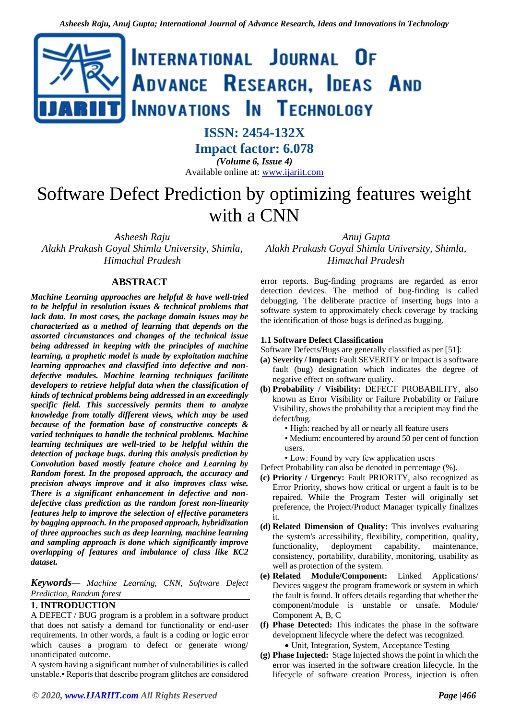

# **ISSN: 2454-132X**

**Impact factor: 6.078** *(Volume 6, Issue 4)* Available online at: [www.ijariit.com](http://www.ijariit.com/)

Software Defect Prediction by optimizing features weight with a CNN

*Asheesh Raju Alakh Prakash Goyal Shimla University, Shimla, Himachal Pradesh*

# **ABSTRACT**

*Machine Learning approaches are helpful & have well-tried to be helpful in resolution issues & technical problems that lack data. In most cases, the package domain issues may be characterized as a method of learning that depends on the assorted circumstances and changes of the technical issue being addressed in keeping with the principles of machine learning, a prophetic model is made by exploitation machine learning approaches and classified into defective and nondefective modules. Machine learning techniques facilitate developers to retrieve helpful data when the classification of kinds of technical problems being addressed in an exceedingly specific field. This successively permits them to analyze knowledge from totally different views, which may be used because of the formation base of constructive concepts & varied techniques to handle the technical problems. Machine learning techniques are well-tried to be helpful within the detection of package bugs. during this analysis prediction by Convolution based mostly feature choice and Learning by Random forest. In the proposed approach, the accuracy and precision always improve and it also improves class wise. There is a significant enhancement in defective and nondefective class prediction as the random forest non-linearity features help to improve the selection of effective parameters by bagging approach. In the proposed approach, hybridization of three approaches such as deep learning, machine learning and sampling approach is done which significantly improve overlapping of features and imbalance of class like KC2 dataset.*

*Keywords⸻ Machine Learning, CNN, Software Defect Prediction, Random forest*

# **1. INTRODUCTION**

A DEFECT / BUG program is a problem in a software product that does not satisfy a demand for functionality or end-user requirements. In other words, a fault is a coding or logic error which causes a program to defect or generate wrong/ unanticipated outcome.

A system having a significant number of vulnerabilities is called unstable.• Reports that describe program glitches are considered

*© 2020, [www.IJARIIT.com](file:///C:/omak/Downloads/www.IJARIIT.com) All Rights Reserved Page |466*

*Anuj Gupta Alakh Prakash Goyal Shimla University, Shimla, Himachal Pradesh*

error reports. Bug-finding programs are regarded as error detection devices. The method of bug-finding is called debugging. The deliberate practice of inserting bugs into a software system to approximately check coverage by tracking the identification of those bugs is defined as bugging.

## **1.1 Software Defect Classification**

Software Defects/Bugs are generally classified as per [51]:

- **(a) Severity / Impact:** Fault SEVERITY or Impact is a software fault (bug) designation which indicates the degree of negative effect on software quality.
- **(b) Probability / Visibility:** DEFECT PROBABILITY, also known as Error Visibility or Failure Probability or Failure Visibility, shows the probability that a recipient may find the defect/bug.
	- High: reached by all or nearly all feature users
	- Medium: encountered by around 50 per cent of function users.
	- Low: Found by very few application users

Defect Probability can also be denoted in percentage (%).

- **(c) Priority / Urgency:** Fault PRIORITY, also recognized as Error Priority, shows how critical or urgent a fault is to be repaired. While the Program Tester will originally set preference, the Project/Product Manager typically finalizes it.
- **(d) Related Dimension of Quality:** This involves evaluating the system's accessibility, flexibility, competition, quality, functionality, deployment capability, maintenance, consistency, portability, durability, monitoring, usability as well as protection of the system.
- **(e) Related Module/Component:** Linked Applications/ Devices suggest the program framework or system in which the fault is found. It offers details regarding that whether the component/module is unstable or unsafe. Module/ Component A, B, C
- **(f) Phase Detected:** This indicates the phase in the software development lifecycle where the defect was recognized.
	- Unit, Integration, System, Acceptance Testing
- **(g) Phase Injected:** Stage Injected shows the point in which the error was inserted in the software creation lifecycle. In the lifecycle of software creation Process, injection is often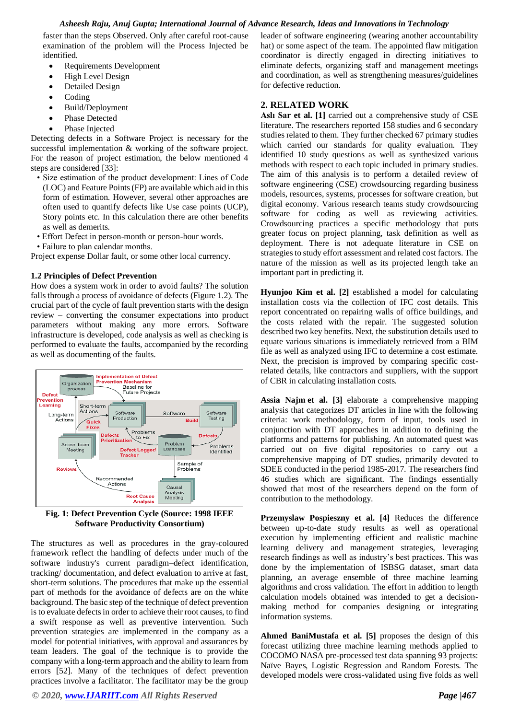faster than the steps Observed. Only after careful root-cause examination of the problem will the Process Injected be identified.

- Requirements Development
- High Level Design
- Detailed Design
- Coding
- Build/Deployment
- Phase Detected
- Phase Injected

Detecting defects in a Software Project is necessary for the successful implementation & working of the software project. For the reason of project estimation, the below mentioned 4 steps are considered [33]:

- Size estimation of the product development: Lines of Code (LOC) and Feature Points (FP) are available which aid in this form of estimation. However, several other approaches are often used to quantify defects like Use case points (UCP), Story points etc. In this calculation there are other benefits as well as demerits.
- Effort Defect in person-month or person-hour words.
- Failure to plan calendar months.

Project expense Dollar fault, or some other local currency.

## **1.2 Principles of Defect Prevention**

How does a system work in order to avoid faults? The solution falls through a process of avoidance of defects (Figure 1.2). The crucial part of the cycle of fault prevention starts with the design review – converting the consumer expectations into product parameters without making any more errors. Software infrastructure is developed, code analysis as well as checking is performed to evaluate the faults, accompanied by the recording as well as documenting of the faults.



**Fig. 1: Defect Prevention Cycle (Source: 1998 IEEE Software Productivity Consortium)**

The structures as well as procedures in the gray-coloured framework reflect the handling of defects under much of the software industry's current paradigm–defect identification, tracking/ documentation, and defect evaluation to arrive at fast, short-term solutions. The procedures that make up the essential part of methods for the avoidance of defects are on the white background. The basic step of the technique of defect prevention is to evaluate defects in order to achieve their root causes, to find a swift response as well as preventive intervention. Such prevention strategies are implemented in the company as a model for potential initiatives, with approval and assurances by team leaders. The goal of the technique is to provide the company with a long-term approach and the ability to learn from errors [52]. Many of the techniques of defect prevention practices involve a facilitator. The facilitator may be the group

leader of software engineering (wearing another accountability hat) or some aspect of the team. The appointed flaw mitigation coordinator is directly engaged in directing initiatives to eliminate defects, organizing staff and management meetings and coordination, as well as strengthening measures/guidelines for defective reduction.

# **2. RELATED WORK**

**[Aslı Sar](https://www.sciencedirect.com/science/article/pii/S0164121219300779#!) et al. [1]** carried out a comprehensive study of CSE literature. The researchers reported 158 studies and 6 secondary studies related to them. They further checked 67 primary studies which carried our standards for quality evaluation. They identified 10 study questions as well as synthesized various methods with respect to each topic included in primary studies. The aim of this analysis is to perform a detailed review of software engineering (CSE) crowdsourcing regarding business models, resources, systems, processes for software creation, but digital economy. Various research teams study crowdsourcing software for coding as well as reviewing activities. Crowdsourcing practices a specific methodology that puts greater focus on project planning, task definition as well as deployment. There is not adequate literature in CSE on strategies to study effort assessment and related cost factors. The nature of the mission as well as its projected length take an important part in predicting it.

**Hyunjoo Kim et al. [2]** established a model for calculating installation costs via the collection of IFC cost details. This report concentrated on repairing walls of office buildings, and the costs related with the repair. The suggested solution described two key benefits. Next, the substitution details used to equate various situations is immediately retrieved from a BIM file as well as analyzed using IFC to determine a cost estimate. Next, the precision is improved by comparing specific costrelated details, like contractors and suppliers, with the support of CBR in calculating installation costs.

**Assia Najm et al. [3]** elaborate a comprehensive mapping analysis that categorizes DT articles in line with the following criteria: work methodology, form of input, tools used in conjunction with DT approaches in addition to defining the platforms and patterns for publishing. An automated quest was carried out on five digital repositories to carry out a comprehensive mapping of DT studies, primarily devoted to SDEE conducted in the period 1985-2017. The researchers find 46 studies which are significant. The findings essentially showed that most of the researchers depend on the form of contribution to the methodology.

**[Przemyslaw](https://www.sciencedirect.com/science/article/pii/S0164121217302947#!) Pospieszny et al. [4]** Reduces the difference between up-to-date study results as well as operational execution by implementing efficient and realistic machine learning delivery and management strategies, leveraging research findings as well as industry's best practices. This was done by the implementation of ISBSG dataset, smart data planning, an average ensemble of three machine learning algorithms and cross validation. The effort in addition to length calculation models obtained was intended to get a decisionmaking method for companies designing or integrating information systems.

**Ahmed BaniMustafa et al. [5]** proposes the design of this forecast utilizing three machine learning methods applied to COCOMO NASA pre-processed test data spanning 93 projects: Naïve Bayes, Logistic Regression and Random Forests. The developed models were cross-validated using five folds as well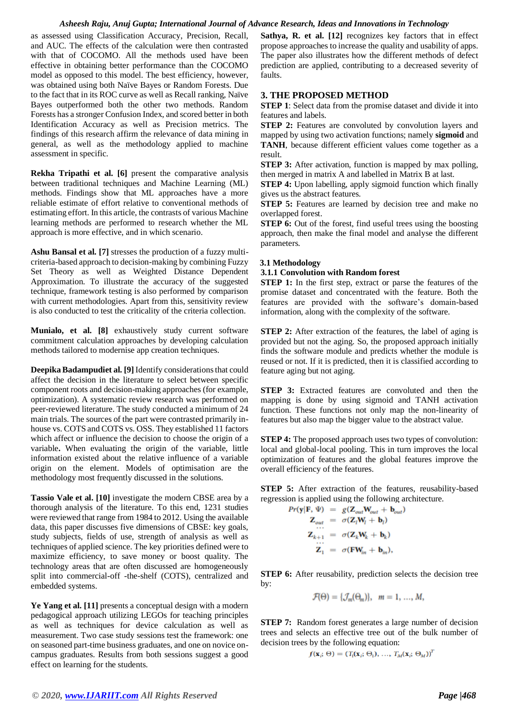as assessed using Classification Accuracy, Precision, Recall, and AUC. The effects of the calculation were then contrasted with that of COCOMO. All the methods used have been effective in obtaining better performance than the COCOMO model as opposed to this model. The best efficiency, however, was obtained using both Naïve Bayes or Random Forests. Due to the fact that in its ROC curve as well as Recall ranking, Naïve Bayes outperformed both the other two methods. Random Forests has a stronger Confusion Index, and scored better in both Identification Accuracy as well as Precision metrics. The findings of this research affirm the relevance of data mining in general, as well as the methodology applied to machine assessment in specific.

**Rekha Tripathi et al. [6]** present the comparative analysis between traditional techniques and Machine Learning (ML) methods. Findings show that ML approaches have a more reliable estimate of effort relative to conventional methods of estimating effort. In this article, the contrasts of various Machine learning methods are performed to research whether the ML approach is more effective, and in which scenario.

**Ashu Bansal et al. [7]** stresses the production of a fuzzy multicriteria-based approach to decision-making by combining Fuzzy Set Theory as well as Weighted Distance Dependent Approximation. To illustrate the accuracy of the suggested technique, framework testing is also performed by comparison with current methodologies. Apart from this, sensitivity review is also conducted to test the criticality of the criteria collection.

**Munialo, et al. [8]** exhaustively study current software commitment calculation approaches by developing calculation methods tailored to modernise app creation techniques.

**[Deepika Badampudie](https://www.sciencedirect.com/science/article/pii/S0164121216301212#!)t al. [9]** Identify considerations that could affect the decision in the literature to select between specific component roots and decision-making approaches (for example, optimization). A systematic review research was performed on peer-reviewed literature. The study conducted a minimum of 24 main trials. The sources of the part were contrasted primarily inhouse vs. COTS and COTS vs. OSS. They established 11 factors which affect or influence the decision to choose the origin of a variable**.** When evaluating the origin of the variable, little information existed about the relative influence of a variable origin on the element. Models of optimisation are the methodology most frequently discussed in the solutions.

**[Tassio Vale](https://www.sciencedirect.com/science/article/pii/S0164121215002095#!) et al. [10]** investigate the modern CBSE area by a thorough analysis of the literature. To this end, 1231 studies were reviewed that range from 1984 to 2012. Using the available data, this paper discusses five dimensions of CBSE: key goals, study subjects, fields of use, strength of analysis as well as techniques of applied science. The key priorities defined were to maximize efficiency, to save money or boost quality. The technology areas that are often discussed are homogeneously split into commercial-off -the-shelf (COTS), centralized and embedded systems.

**Ye Yang et al. [11]** presents a conceptual design with a modern pedagogical approach utilizing LEGOs for teaching principles as well as techniques for device calculation as well as measurement. Two case study sessions test the framework: one on seasoned part-time business graduates, and one on novice oncampus graduates. Results from both sessions suggest a good effect on learning for the students.

**Sathya, R. et al. [12]** recognizes key factors that in effect propose approaches to increase the quality and usability of apps. The paper also illustrates how the different methods of defect prediction are applied, contributing to a decreased severity of faults.

## **3. THE PROPOSED METHOD**

**STEP 1**: Select data from the promise dataset and divide it into features and labels.

**STEP 2:** Features are convoluted by convolution layers and mapped by using two activation functions; namely **sigmoid** and **TANH**, because different efficient values come together as a result.

**STEP 3:** After activation, function is mapped by max polling, then merged in matrix A and labelled in Matrix B at last.

**STEP 4:** Upon labelling, apply sigmoid function which finally gives us the abstract features.

**STEP 5:** Features are learned by decision tree and make no overlapped forest.

**STEP 6:** Out of the forest, find useful trees using the boosting approach, then make the final model and analyse the different parameters.

#### **3.1 Methodology**

#### **3.1.1 Convolution with Random forest**

**STEP 1:** In the first step, extract or parse the features of the promise dataset and concentrated with the feature. Both the features are provided with the software's domain-based information, along with the complexity of the software.

**STEP 2:** After extraction of the features, the label of aging is provided but not the aging. So, the proposed approach initially finds the software module and predicts whether the module is reused or not. If it is predicted, then it is classified according to feature aging but not aging.

**STEP 3:** Extracted features are convoluted and then the mapping is done by using sigmoid and TANH activation function. These functions not only map the non-linearity of features but also map the bigger value to the abstract value.

**STEP 4:** The proposed approach uses two types of convolution: local and global-local pooling. This in turn improves the local optimization of features and the global features improve the overall efficiency of the features.

**STEP 5:** After extraction of the features, reusability-based regression is applied using the following architecture.

$$
Pr(\mathbf{y}|\mathbf{F}, \Psi) = g(\mathbf{Z}_{out}\mathbf{W}_{out} + \mathbf{b}_{out})
$$
  
\n
$$
\mathbf{Z}_{out} = \sigma(\mathbf{Z}_l\mathbf{W}_l + \mathbf{b}_l)
$$
  
\n
$$
\mathbf{Z}_{k+1} = \sigma(\mathbf{Z}_k\mathbf{W}_k + \mathbf{b}_k)
$$
  
\n
$$
\mathbf{Z}_1 = \sigma(\mathbf{F}\mathbf{W}_{in} + \mathbf{b}_{in}),
$$

**STEP 6:** After reusability, prediction selects the decision tree by:

$$
\mathcal{F}(\Theta) = \{\mathcal{J}_m(\Theta_m)\}, \quad m = 1, \ldots, M,
$$

**STEP 7:** Random forest generates a large number of decision trees and selects an effective tree out of the bulk number of decision trees by the following equation:

$$
f(\mathbf{x}_i; \Theta) = (T_1(\mathbf{x}_i; \Theta_1), \dots, T_M(\mathbf{x}_i; \Theta_M))^T
$$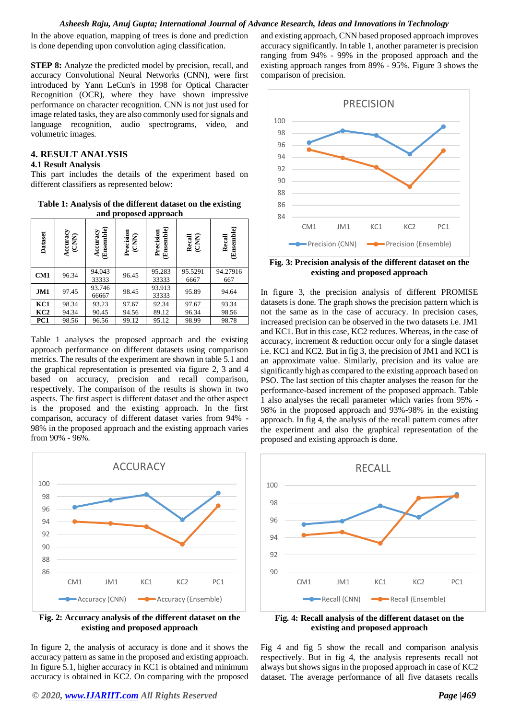In the above equation, mapping of trees is done and prediction is done depending upon convolution aging classification.

**STEP 8:** Analyze the predicted model by precision, recall, and accuracy Convolutional Neural Networks (CNN), were first introduced by Yann LeCun's in 1998 for Optical Character Recognition (OCR), where they have shown impressive performance on character recognition. CNN is not just used for image related tasks, they are also commonly used for signals and language recognition, audio spectrograms, video, and volumetric images.

# **4. RESULT ANALYSIS**

## **4.1 Result Analysis**

This part includes the details of the experiment based on different classifiers as represented below:

**Table 1: Analysis of the different dataset on the existing and proposed approach**

| Dataset         | Accuracy<br>(CNN) | Ensemble)<br>Accuracy | Precision<br>(CNN) | Ensemble)<br>Precision | Recall<br>(CNN) | Ensemble)<br>Recall |
|-----------------|-------------------|-----------------------|--------------------|------------------------|-----------------|---------------------|
| CM1             | 96.34             | 94.043<br>33333       | 96.45              | 95.283<br>33333        | 95.5291<br>6667 | 94.27916<br>667     |
| JM1             | 97.45             | 93.746<br>66667       | 98.45              | 93.913<br>33333        | 95.89           | 94.64               |
| KC1             | 98.34             | 93.23                 | 97.67              | 92.34                  | 97.67           | 93.34               |
| KC <sub>2</sub> | 94.34             | 90.45                 | 94.56              | 89.12                  | 96.34           | 98.56               |
| PC1             | 98.56             | 96.56                 | 99.12              | 95.12                  | 98.99           | 98.78               |

Table 1 analyses the proposed approach and the existing approach performance on different datasets using comparison metrics. The results of the experiment are shown in table 5.1 and the graphical representation is presented via figure 2, 3 and 4 based on accuracy, precision and recall comparison, respectively. The comparison of the results is shown in two aspects. The first aspect is different dataset and the other aspect is the proposed and the existing approach. In the first comparison, accuracy of different dataset varies from 94% - 98% in the proposed approach and the existing approach varies from 90% - 96%.



**Fig. 2: Accuracy analysis of the different dataset on the existing and proposed approach**

In figure 2, the analysis of accuracy is done and it shows the accuracy pattern as same in the proposed and existing approach. In figure 5.1, higher accuracy in KC1 is obtained and minimum accuracy is obtained in KC2. On comparing with the proposed

and existing approach, CNN based proposed approach improves accuracy significantly. In table 1, another parameter is precision ranging from 94% - 99% in the proposed approach and the existing approach ranges from 89% - 95%. Figure 3 shows the comparison of precision.



**Fig. 3: Precision analysis of the different dataset on the existing and proposed approach**

In figure 3, the precision analysis of different PROMISE datasets is done. The graph shows the precision pattern which is not the same as in the case of accuracy. In precision cases, increased precision can be observed in the two datasets i.e. JM1 and KC1. But in this case, KC2 reduces. Whereas, in the case of accuracy, increment & reduction occur only for a single dataset i.e. KC1 and KC2. But in fig 3, the precision of JM1 and KC1 is an approximate value. Similarly, precision and its value are significantly high as compared to the existing approach based on PSO. The last section of this chapter analyses the reason for the performance-based increment of the proposed approach. Table 1 also analyses the recall parameter which varies from 95% - 98% in the proposed approach and 93%-98% in the existing approach. In fig 4, the analysis of the recall pattern comes after the experiment and also the graphical representation of the proposed and existing approach is done.



**Fig. 4: Recall analysis of the different dataset on the existing and proposed approach**

Fig 4 and fig 5 show the recall and comparison analysis respectively. But in fig 4, the analysis represents recall not always but shows signs in the proposed approach in case of KC2 dataset. The average performance of all five datasets recalls